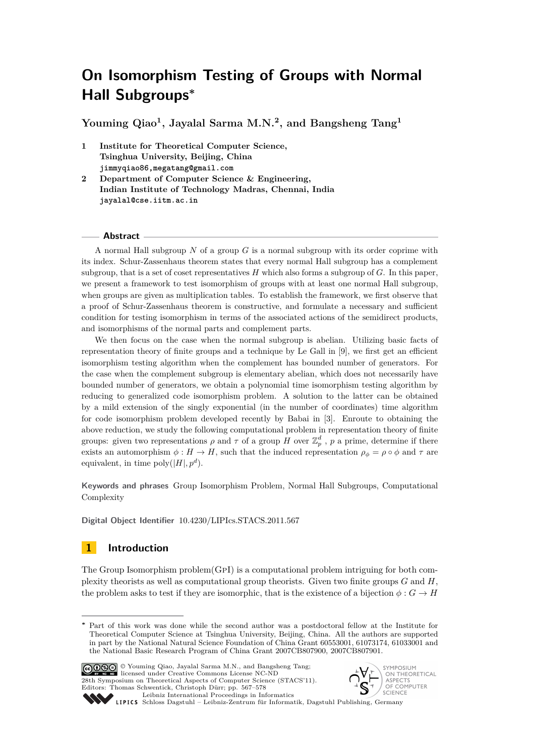**Youming Qiao<sup>1</sup> , Jayalal Sarma M.N.<sup>2</sup> , and Bangsheng Tang<sup>1</sup>**

- **1 Institute for Theoretical Computer Science, Tsinghua University, Beijing, China jimmyqiao86,megatang@gmail.com**
- **2 Department of Computer Science & Engineering, Indian Institute of Technology Madras, Chennai, India jayalal@cse.iitm.ac.in**

#### **Abstract**

A normal Hall subgroup *N* of a group *G* is a normal subgroup with its order coprime with its index. Schur-Zassenhaus theorem states that every normal Hall subgroup has a complement subgroup, that is a set of coset representatives *H* which also forms a subgroup of *G*. In this paper, we present a framework to test isomorphism of groups with at least one normal Hall subgroup, when groups are given as multiplication tables. To establish the framework, we first observe that a proof of Schur-Zassenhaus theorem is constructive, and formulate a necessary and sufficient condition for testing isomorphism in terms of the associated actions of the semidirect products, and isomorphisms of the normal parts and complement parts.

We then focus on the case when the normal subgroup is abelian. Utilizing basic facts of representation theory of finite groups and a technique by Le Gall in [\[9\]](#page-11-0), we first get an efficient isomorphism testing algorithm when the complement has bounded number of generators. For the case when the complement subgroup is elementary abelian, which does not necessarily have bounded number of generators, we obtain a polynomial time isomorphism testing algorithm by reducing to generalized code isomorphism problem. A solution to the latter can be obtained by a mild extension of the singly exponential (in the number of coordinates) time algorithm for code isomorphism problem developed recently by Babai in [\[3\]](#page-10-0). Enroute to obtaining the above reduction, we study the following computational problem in representation theory of finite groups: given two representations  $\rho$  and  $\tau$  of a group  $H$  over  $\mathbb{Z}_p^d$ ,  $p$  a prime, determine if there exists an automorphism  $\phi : H \to H$ , such that the induced representation  $\rho_{\phi} = \rho \circ \phi$  and  $\tau$  are equivalent, in time  $\text{poly}(|H|, p^d)$ .

**Keywords and phrases** Group Isomorphism Problem, Normal Hall Subgroups, Computational Complexity

**Digital Object Identifier** [10.4230/LIPIcs.STACS.2011.567](http://dx.doi.org/10.4230/LIPIcs.STACS.2011.567)

### **1 Introduction**

The Group Isomorphism problem(GpI) is a computational problem intriguing for both complexity theorists as well as computational group theorists. Given two finite groups *G* and *H*, the problem asks to test if they are isomorphic, that is the existence of a bijection  $\phi: G \to H$ 

Part of this work was done while the second author was a postdoctoral fellow at the Institute for Theoretical Computer Science at Tsinghua University, Beijing, China. All the authors are supported in part by the National Natural Science Foundation of China Grant 60553001, 61073174, 61033001 and the National Basic Research Program of China Grant 2007CB807900, 2007CB807901.



© Youming Qiao, Jayalal Sarma M.N., and Bangsheng Tang; licensed under Creative Commons License NC-ND 28th Symposium on Theoretical Aspects of Computer Science (STACS'11). Editors: Thomas Schwentick, Christoph Dürr; pp. 567[–578](#page-11-1)

[Leibniz International Proceedings in Informatics](http://www.dagstuhl.de/lipics/)



Leibniz International Proceedings in Informatik, Dagstuhl Publishing, Germany<br>LIPICS [Schloss Dagstuhl – Leibniz-Zentrum für Informatik, Dagstuhl Publishing, Germany](http://www.dagstuhl.de)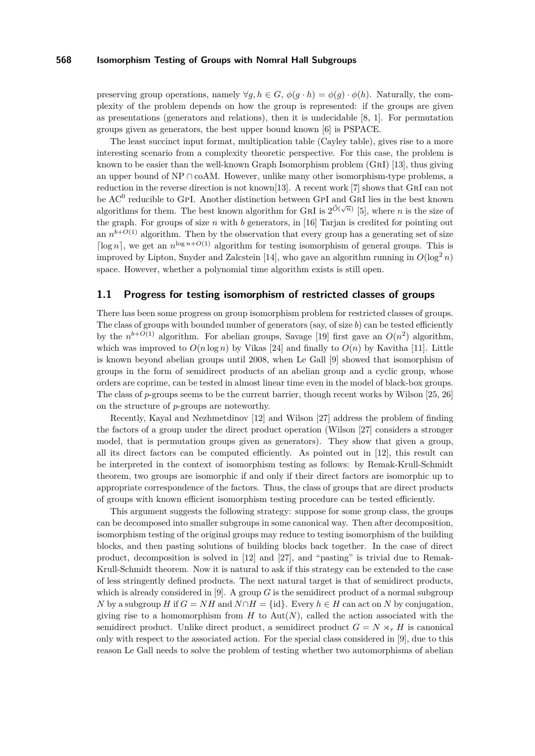preserving group operations, namely  $\forall g, h \in G$ ,  $\phi(g \cdot h) = \phi(g) \cdot \phi(h)$ . Naturally, the complexity of the problem depends on how the group is represented: if the groups are given as presentations (generators and relations), then it is undecidable [\[8,](#page-11-2) [1\]](#page-10-1). For permutation groups given as generators, the best upper bound known [\[6\]](#page-11-3) is PSPACE.

The least succinct input format, multiplication table (Cayley table), gives rise to a more interesting scenario from a complexity theoretic perspective. For this case, the problem is known to be easier than the well-known Graph Isomorphism problem (GrI) [\[13\]](#page-11-4), thus giving an upper bound of  $NP \cap coAM$ . However, unlike many other isomorphism-type problems, a reduction in the reverse direction is not known[\[13\]](#page-11-4). A recent work [\[7\]](#page-11-5) shows that GrI can not be  $AC^0$  reducible to GPI. Another distinction between GPI and GRI lies in the best known algorithms for them. The best known algorithm for GRI is  $2^{\tilde{O}(\sqrt{n})}$  [\[5\]](#page-10-2), where *n* is the size of the graph. For groups of size *n* with *b* generators, in [\[16\]](#page-11-6) Tarjan is credited for pointing out an  $n^{b+O(1)}$  algorithm. Then by the observation that every group has a generating set of size  $\lceil \log n \rceil$ , we get an  $n^{\log n + O(1)}$  algorithm for testing isomorphism of general groups. This is improved by Lipton, Snyder and Zalcstein [\[14\]](#page-11-7), who gave an algorithm running in  $O(\log^2 n)$ space. However, whether a polynomial time algorithm exists is still open.

### <span id="page-1-0"></span>**1.1 Progress for testing isomorphism of restricted classes of groups**

There has been some progress on group isomorphism problem for restricted classes of groups. The class of groups with bounded number of generators (say, of size *b*) can be tested efficiently by the  $n^{b+O(1)}$  algorithm. For abelian groups, Savage [\[19\]](#page-11-8) first gave an  $O(n^2)$  algorithm, which was improved to  $O(n \log n)$  by Vikas [\[24\]](#page-11-9) and finally to  $O(n)$  by Kavitha [\[11\]](#page-11-10). Little is known beyond abelian groups until 2008, when Le Gall [\[9\]](#page-11-0) showed that isomorphism of groups in the form of semidirect products of an abelian group and a cyclic group, whose orders are coprime, can be tested in almost linear time even in the model of black-box groups. The class of *p*-groups seems to be the current barrier, though recent works by Wilson [\[25,](#page-11-11) [26\]](#page-11-12) on the structure of *p*-groups are noteworthy.

Recently, Kayal and Nezhmetdinov [\[12\]](#page-11-13) and Wilson [\[27\]](#page-11-14) address the problem of finding the factors of a group under the direct product operation (Wilson [\[27\]](#page-11-14) considers a stronger model, that is permutation groups given as generators). They show that given a group, all its direct factors can be computed efficiently. As pointed out in [\[12\]](#page-11-13), this result can be interpreted in the context of isomorphism testing as follows: by Remak-Krull-Schmidt theorem, two groups are isomorphic if and only if their direct factors are isomorphic up to appropriate correspondence of the factors. Thus, the class of groups that are direct products of groups with known efficient isomorphism testing procedure can be tested efficiently.

This argument suggests the following strategy: suppose for some group class, the groups can be decomposed into smaller subgroups in some canonical way. Then after decomposition, isomorphism testing of the original groups may reduce to testing isomorphism of the building blocks, and then pasting solutions of building blocks back together. In the case of direct product, decomposition is solved in [\[12\]](#page-11-13) and [\[27\]](#page-11-14), and "pasting" is trivial due to Remak-Krull-Schmidt theorem. Now it is natural to ask if this strategy can be extended to the case of less stringently defined products. The next natural target is that of semidirect products, which is already considered in [\[9\]](#page-11-0). A group *G* is the semidirect product of a normal subgroup *N* by a subgroup *H* if  $G = NH$  and  $N \cap H = \{id\}$ . Every  $h \in H$  can act on *N* by conjugation, giving rise to a homomorphism from  $H$  to  $Aut(N)$ , called the action associated with the semidirect product. Unlike direct product, a semidirect product  $G = N \times_{\tau} H$  is canonical only with respect to the associated action. For the special class considered in [\[9\]](#page-11-0), due to this reason Le Gall needs to solve the problem of testing whether two automorphisms of abelian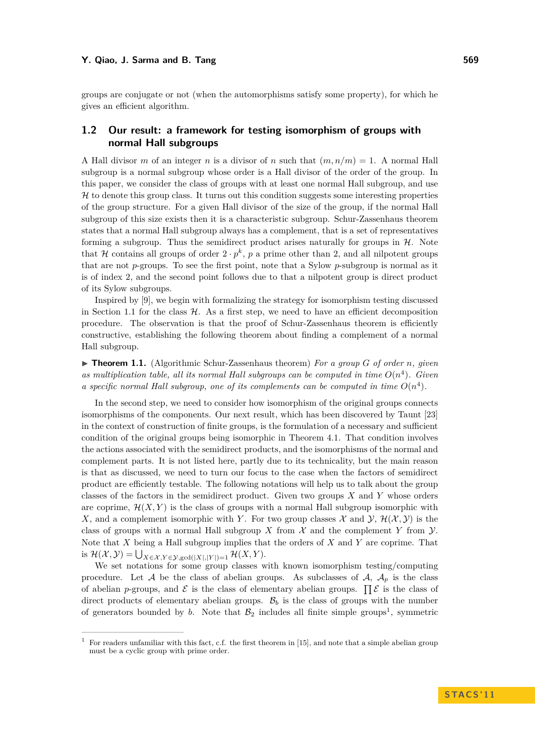groups are conjugate or not (when the automorphisms satisfy some property), for which he gives an efficient algorithm.

### **1.2 Our result: a framework for testing isomorphism of groups with normal Hall subgroups**

A Hall divisor *m* of an integer *n* is a divisor of *n* such that  $(m, n/m) = 1$ . A normal Hall subgroup is a normal subgroup whose order is a Hall divisor of the order of the group. In this paper, we consider the class of groups with at least one normal Hall subgroup, and use  $H$  to denote this group class. It turns out this condition suggests some interesting properties of the group structure. For a given Hall divisor of the size of the group, if the normal Hall subgroup of this size exists then it is a characteristic subgroup. Schur-Zassenhaus theorem states that a normal Hall subgroup always has a complement, that is a set of representatives forming a subgroup. Thus the semidirect product arises naturally for groups in  $H$ . Note that H contains all groups of order  $2 \cdot p^k$ , p a prime other than 2, and all nilpotent groups that are not *p*-groups. To see the first point, note that a Sylow *p*-subgroup is normal as it is of index 2, and the second point follows due to that a nilpotent group is direct product of its Sylow subgroups.

Inspired by [\[9\]](#page-11-0), we begin with formalizing the strategy for isomorphism testing discussed in Section [1.1](#page-1-0) for the class  $H$ . As a first step, we need to have an efficient decomposition procedure. The observation is that the proof of Schur-Zassenhaus theorem is efficiently constructive, establishing the following theorem about finding a complement of a normal Hall subgroup.

<span id="page-2-0"></span> $\triangleright$  **Theorem 1.1.** (Algorithmic Schur-Zassenhaus theorem) *For a group G of order n, given* as multiplication table, all its normal Hall subgroups can be computed in time  $O(n^4)$ . Given *a specific normal Hall subgroup, one of its complements can be computed in time*  $O(n^4)$ .

In the second step, we need to consider how isomorphism of the original groups connects isomorphisms of the components. Our next result, which has been discovered by Taunt [\[23\]](#page-11-15) in the context of construction of finite groups, is the formulation of a necessary and sufficient condition of the original groups being isomorphic in Theorem [4.1.](#page-6-0) That condition involves the actions associated with the semidirect products, and the isomorphisms of the normal and complement parts. It is not listed here, partly due to its technicality, but the main reason is that as discussed, we need to turn our focus to the case when the factors of semidirect product are efficiently testable. The following notations will help us to talk about the group classes of the factors in the semidirect product. Given two groups *X* and *Y* whose orders are coprime,  $\mathcal{H}(X, Y)$  is the class of groups with a normal Hall subgroup isomorphic with X, and a complement isomorphic with Y. For two group classes  $\mathcal X$  and  $\mathcal Y$ ,  $\mathcal H(\mathcal X, \mathcal Y)$  is the class of groups with a normal Hall subgroup X from  $\mathcal X$  and the complement Y from  $\mathcal Y$ . Note that *X* being a Hall subgroup implies that the orders of *X* and *Y* are coprime. That is  $\mathcal{H}(\mathcal{X}, \mathcal{Y}) = \bigcup_{X \in \mathcal{X}, Y \in \mathcal{Y}, \text{gcd}(|X|, |Y|) = 1} \mathcal{H}(X, Y).$ 

We set notations for some group classes with known isomorphism testing/computing procedure. Let A be the class of abelian groups. As subclasses of  $A$ ,  $A_p$  is the class of abelian *p*-groups, and  $\mathcal E$  is the class of elementary abelian groups.  $\prod \mathcal E$  is the class of direct products of elementary abelian groups.  $B_b$  is the class of groups with the number of generators bounded by *b*. Note that  $\mathcal{B}_2$  includes all finite simple groups<sup>1</sup>, symmetric

<sup>1</sup> For readers unfamiliar with this fact, c.f. the first theorem in [\[15\]](#page-11-16), and note that a simple abelian group must be a cyclic group with prime order.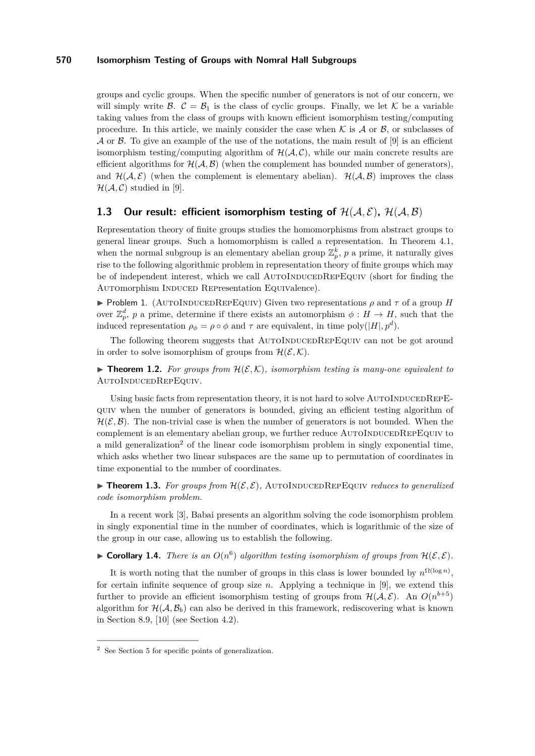groups and cyclic groups. When the specific number of generators is not of our concern, we will simply write  $\mathcal{B}$ .  $\mathcal{C} = \mathcal{B}_1$  is the class of cyclic groups. Finally, we let K be a variable taking values from the class of groups with known efficient isomorphism testing/computing procedure. In this article, we mainly consider the case when  $K$  is  $A$  or  $B$ , or subclasses of  $\mathcal A$  or  $\mathcal B$ . To give an example of the use of the notations, the main result of [\[9\]](#page-11-0) is an efficient isomorphism testing/computing algorithm of  $H(A, C)$ , while our main concrete results are efficient algorithms for  $\mathcal{H}(\mathcal{A}, \mathcal{B})$  (when the complement has bounded number of generators), and  $\mathcal{H}(\mathcal{A}, \mathcal{E})$  (when the complement is elementary abelian).  $\mathcal{H}(\mathcal{A}, \mathcal{B})$  improves the class  $\mathcal{H}(\mathcal{A}, \mathcal{C})$  studied in [\[9\]](#page-11-0).

### **1.3** Our result: efficient isomorphism testing of  $H(A, \mathcal{E})$ ,  $H(A, \mathcal{B})$

Representation theory of finite groups studies the homomorphisms from abstract groups to general linear groups. Such a homomorphism is called a representation. In Theorem [4.1,](#page-6-0) when the normal subgroup is an elementary abelian group  $\mathbb{Z}_p^k$ ,  $p$  a prime, it naturally gives rise to the following algorithmic problem in representation theory of finite groups which may be of independent interest, which we call AUTOINDUCEDREPEQUIV (short for finding the Automorphism INDUCED REPresentation Equivalence).

**Problem 1.** (AUTOINDUCEDREPEQUIV) Given two representations  $\rho$  and  $\tau$  of a group *H* over  $\mathbb{Z}_p^d$ , *p* a prime, determine if there exists an automorphism  $\phi: H \to H$ , such that the induced representation  $\rho_{\phi} = \rho \circ \phi$  and  $\tau$  are equivalent, in time poly $(|H|, p^d)$ .

The following theorem suggests that AUTOINDUCEDREPEQUIV can not be got around in order to solve isomorphism of groups from  $\mathcal{H}(\mathcal{E}, \mathcal{K})$ .

<span id="page-3-0"></span>**Figure 1.2.** For groups from  $H(\mathcal{E}, \mathcal{K})$ , isomorphism testing is many-one equivalent to AutoInducedRepEquiv*.*

Using basic facts from representation theory, it is not hard to solve  $\text{AuroINDUCEDREPE-}$ quiv when the number of generators is bounded, giving an efficient testing algorithm of  $\mathcal{H}(\mathcal{E}, \mathcal{B})$ . The non-trivial case is when the number of generators is not bounded. When the complement is an elementary abelian group, we further reduce AUTOINDUCEDREPEQUIV to a mild generalization<sup>2</sup> of the linear code isomorphism problem in singly exponential time, which asks whether two linear subspaces are the same up to permutation of coordinates in time exponential to the number of coordinates.

<span id="page-3-1"></span>**Findment 1.3.** For groups from  $\mathcal{H}(\mathcal{E}, \mathcal{E})$ , AUTOINDUCEDREPEQUIV *reduces to generalized code isomorphism problem.*

In a recent work [\[3\]](#page-10-0), Babai presents an algorithm solving the code isomorphism problem in singly exponential time in the number of coordinates, which is logarithmic of the size of the group in our case, allowing us to establish the following.

**Corollary 1.4.** *There is an*  $O(n^6)$  *algorithm testing isomorphism of groups from*  $\mathcal{H}(\mathcal{E}, \mathcal{E})$ *.* 

It is worth noting that the number of groups in this class is lower bounded by  $n^{\Omega(\log n)}$ , for certain infinite sequence of group size *n*. Applying a technique in [\[9\]](#page-11-0), we extend this further to provide an efficient isomorphism testing of groups from  $\mathcal{H}(\mathcal{A}, \mathcal{E})$ . An  $O(n^{b+5})$ algorithm for  $\mathcal{H}(\mathcal{A}, \mathcal{B}_b)$  can also be derived in this framework, rediscovering what is known in Section 8.9, [\[10\]](#page-11-17) (see Section [4.2\)](#page-6-1).

<sup>2</sup> See Section [5](#page-7-0) for specific points of generalization.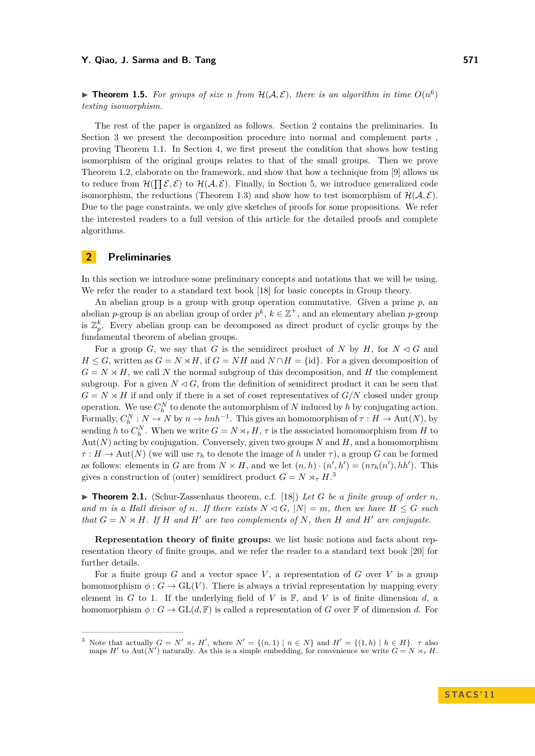#### **Y.** Qiao, J. Sarma and B. Tang 571

**Theorem 1.5.** For groups of size *n* from  $H(A, \mathcal{E})$ , there is an algorithm in time  $O(n^6)$ *testing isomorphism.*

The rest of the paper is organized as follows. Section [2](#page-4-0) contains the preliminaries. In Section [3](#page-5-0) we present the decomposition procedure into normal and complement parts , proving Theorem [1.1.](#page-2-0) In Section [4,](#page-6-2) we first present the condition that shows how testing isomorphism of the original groups relates to that of the small groups. Then we prove Theorem [1.2,](#page-3-0) elaborate on the framework, and show that how a technique from [\[9\]](#page-11-0) allows us to reduce from  $\mathcal{H}(\prod \mathcal{E}, \mathcal{E})$  to  $\mathcal{H}(\mathcal{A}, \mathcal{E})$ . Finally, in Section [5,](#page-7-0) we introduce generalized code isomorphism, the reductions (Theorem [1.3\)](#page-3-1) and show how to test isomorphism of  $\mathcal{H}(\mathcal{A}, \mathcal{E})$ . Due to the page constraints, we only give sketches of proofs for some propositions. We refer the interested readers to a full version of this article for the detailed proofs and complete algorithms.

### <span id="page-4-0"></span>**2 Preliminaries**

In this section we introduce some preliminary concepts and notations that we will be using. We refer the reader to a standard text book [\[18\]](#page-11-18) for basic concepts in Group theory.

An abelian group is a group with group operation commutative. Given a prime *p*, an abelian *p*-group is an abelian group of order  $p^k$ ,  $k \in \mathbb{Z}^+$ , and an elementary abelian *p*-group is  $\mathbb{Z}_p^k$ . Every abelian group can be decomposed as direct product of cyclic groups by the fundamental theorem of abelian groups.

For a group *G*, we say that *G* is the semidirect product of *N* by *H*, for  $N \triangleleft G$  and *H* ≤ *G*, written as  $G = N \rtimes H$ , if  $G = NH$  and  $N \cap H = \{id\}$ . For a given decomposition of  $G = N \rtimes H$ , we call N the normal subgroup of this decomposition, and H the complement subgroup. For a given  $N \leq G$ , from the definition of semidirect product it can be seen that  $G = N \rtimes H$  if and only if there is a set of coset representatives of  $G/N$  closed under group operation. We use  $C_h^N$  to denote the automorphism of  $N$  induced by  $h$  by conjugating action. Formally,  $C_h^N : N \to N$  by  $n \to hnh^{-1}$ . This gives an homomorphism of  $\tau : H \to \text{Aut}(N)$ , by sending *h* to  $C_h^N$ . When we write  $G = N \rtimes_{\tau} H$ ,  $\tau$  is the associated homomorphism from *H* to Aut(*N*) acting by conjugation. Conversely, given two groups *N* and *H*, and a homomorphism  $\tau : H \to \text{Aut}(N)$  (we will use  $\tau_h$  to denote the image of *h* under  $\tau$ ), a group *G* can be formed as follows: elements in *G* are from  $N \times H$ , and we let  $(n, h) \cdot (n', h') = (n\tau_h(n'), hh')$ . This gives a construction of (outer) semidirect product  $G = N \rtimes_{\tau} H$ <sup>3</sup>

 $\blacktriangleright$  **Theorem 2.1.** (Schur-Zassenhaus theorem, c.f. [\[18\]](#page-11-18)) Let G be a finite group of order n. *and m is a Hall divisor of <i>n.* If there exists  $N \triangleleft G$ *,*  $|N| = m$ *, then we have*  $H \leq G$  *such that*  $G = N \rtimes H$ *. If H* and *H*<sup> $\prime$ </sup> are *two complements of N, then H* and *H*<sup> $\prime$ </sup> are conjugate.

**Representation theory of finite groups:** we list basic notions and facts about representation theory of finite groups, and we refer the reader to a standard text book [\[20\]](#page-11-19) for further details.

For a finite group  $G$  and a vector space  $V$ , a representation of  $G$  over  $V$  is a group homomorphism  $\phi$  :  $G \to GL(V)$ . There is always a trivial representation by mapping every element in *G* to 1. If the underlying field of *V* is  $\mathbb{F}$ , and *V* is of finite dimension *d*, a homomorphism  $\phi: G \to \text{GL}(d, \mathbb{F})$  is called a representation of *G* over  $\mathbb{F}$  of dimension *d*. For

<sup>&</sup>lt;sup>3</sup> Note that actually  $G = N' \rtimes_{\tau} H'$ , where  $N' = \{(n,1) \mid n \in N\}$  and  $H' = \{(1,h) \mid h \in H\}$ .  $\tau$  also maps *H*<sup> $\prime$ </sup> to Aut( $N'$ ) naturally. As this is a simple embedding, for convenience we write  $G = N \times_{\tau} H$ .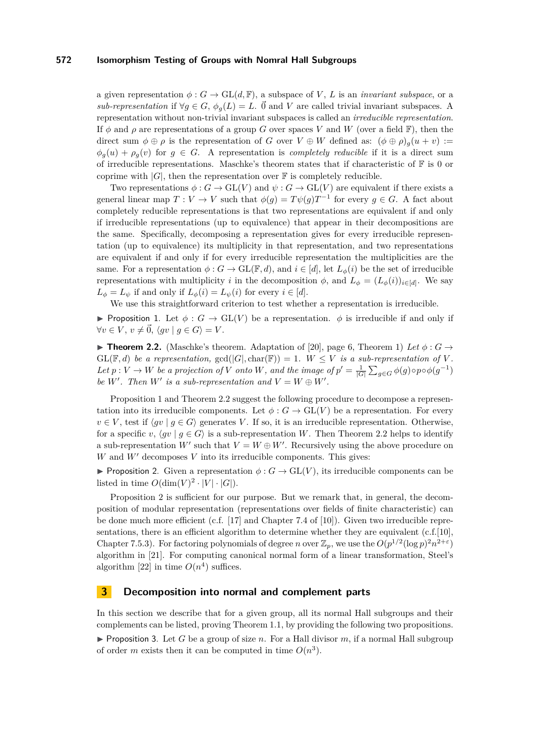a given representation  $\phi: G \to \text{GL}(d, \mathbb{F})$ , a subspace of *V*, *L* is an *invariant subspace*, or a *sub-representation* if  $\forall g \in G$ ,  $\phi_g(L) = L$ .  $\vec{0}$  and *V* are called trivial invariant subspaces. A representation without non-trivial invariant subspaces is called an *irreducible representation*. If  $\phi$  and  $\rho$  are representations of a group *G* over spaces *V* and *W* (over a field F), then the direct sum  $\phi \oplus \rho$  is the representation of *G* over  $V \oplus W$  defined as:  $(\phi \oplus \rho)_{g}(u + v)$  :=  $\phi_q(u) + \rho_q(v)$  for  $q \in G$ . A representation is *completely reducible* if it is a direct sum of irreducible representations. Maschke's theorem states that if characteristic of  $\mathbb F$  is 0 or coprime with  $|G|$ , then the representation over  $\mathbb F$  is completely reducible.

Two representations  $\phi : G \to \mathrm{GL}(V)$  and  $\psi : G \to \mathrm{GL}(V)$  are equivalent if there exists a general linear map  $T: V \to V$  such that  $\phi(g) = T\psi(g)T^{-1}$  for every  $g \in G$ . A fact about completely reducible representations is that two representations are equivalent if and only if irreducible representations (up to equivalence) that appear in their decompositions are the same. Specifically, decomposing a representation gives for every irreducible representation (up to equivalence) its multiplicity in that representation, and two representations are equivalent if and only if for every irreducible representation the multiplicities are the same. For a representation  $\phi: G \to GL(\mathbb{F}, d)$ , and  $i \in [d]$ , let  $L_{\phi}(i)$  be the set of irreducible representations with multiplicity *i* in the decomposition  $\phi$ , and  $L_{\phi} = (L_{\phi}(i))_{i \in [d]}$ . We say  $L_{\phi} = L_{\psi}$  if and only if  $L_{\phi}(i) = L_{\psi}(i)$  for every  $i \in [d]$ .

We use this straightforward criterion to test whether a representation is irreducible.

<span id="page-5-1"></span>**Proposition 1.** Let  $\phi: G \to GL(V)$  be a representation.  $\phi$  is irreducible if and only if  $\forall v \in V, v \neq \vec{0}, \langle qv | q \in G \rangle = V.$ 

<span id="page-5-2"></span>**Findmer 1.2.** (Maschke's theorem. Adaptation of [\[20\]](#page-11-19), page 6, Theorem 1) Let  $\phi : G \to$  $GL(\mathbb{F}, d)$  *be a representation,*  $gcd(|G|, char(\mathbb{F})) = 1$ *.*  $W \leq V$  *is a sub-representation of V*. Let  $p: V \to W$  be a projection of *V* onto *W*, and the image of  $p' = \frac{1}{|G|} \sum_{g \in G} \phi(g) \circ p \circ \phi(g^{-1})$ *be*  $W'$ *. Then*  $W'$  *is a sub-representation and*  $V = W \oplus W'$ *.* 

Proposition [1](#page-5-1) and Theorem [2.2](#page-5-2) suggest the following procedure to decompose a representation into its irreducible components. Let  $\phi : G \to GL(V)$  be a representation. For every  $v \in V$ , test if  $\langle qv | q \in G \rangle$  generates *V*. If so, it is an irreducible representation. Otherwise, for a specific *v*,  $\langle gv | g \in G \rangle$  is a sub-representation *W*. Then Theorem [2.2](#page-5-2) helps to identify a sub-representation  $W'$  such that  $V = W \oplus W'$ . Recursively using the above procedure on  $W$  and  $W'$  decomposes  $V$  into its irreducible components. This gives:

<span id="page-5-3"></span>**Proposition 2.** Given a representation  $\phi: G \to GL(V)$ , its irreducible components can be listed in time  $O(\dim(V)^2 \cdot |V| \cdot |G|)$ .

Proposition [2](#page-5-3) is sufficient for our purpose. But we remark that, in general, the decomposition of modular representation (representations over fields of finite characteristic) can be done much more efficient (c.f. [\[17\]](#page-11-20) and Chapter 7.4 of [\[10\]](#page-11-17)). Given two irreducible representations, there is an efficient algorithm to determine whether they are equivalent  $(c.f.[10]$  $(c.f.[10]$ , Chapter 7.5.3). For factoring polynomials of degree *n* over  $\mathbb{Z}_p$ , we use the  $O(p^{1/2}(\log p)^2 n^{2+\epsilon})$ algorithm in [\[21\]](#page-11-21). For computing canonical normal form of a linear transformation, Steel's algorithm [\[22\]](#page-11-22) in time  $O(n^4)$  suffices.

### <span id="page-5-0"></span>**3 Decomposition into normal and complement parts**

In this section we describe that for a given group, all its normal Hall subgroups and their complements can be listed, proving Theorem [1.1,](#page-2-0) by providing the following two propositions.

<span id="page-5-4"></span>Proposition 3. Let *G* be a group of size *n*. For a Hall divisor *m*, if a normal Hall subgroup of order *m* exists then it can be computed in time  $O(n^3)$ .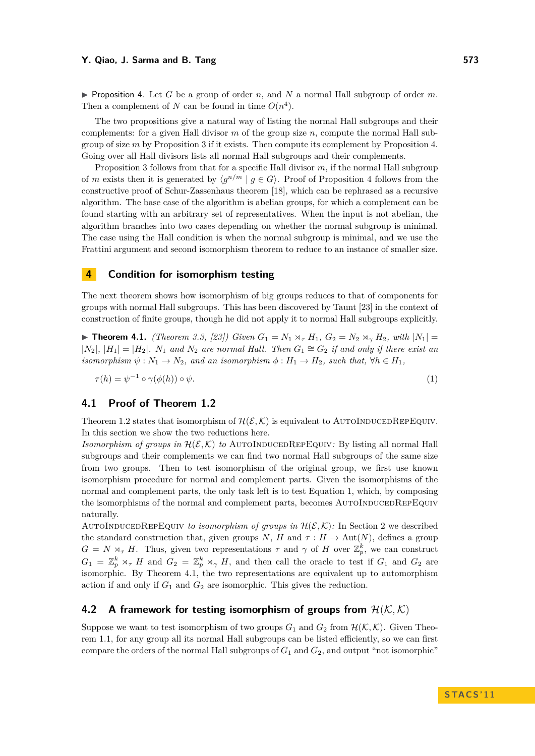<span id="page-6-3"></span> $\triangleright$  Proposition 4. Let *G* be a group of order *n*, and *N* a normal Hall subgroup of order *m*. Then a complement of *N* can be found in time  $O(n^4)$ .

The two propositions give a natural way of listing the normal Hall subgroups and their complements: for a given Hall divisor *m* of the group size *n*, compute the normal Hall subgroup of size *m* by Proposition [3](#page-5-4) if it exists. Then compute its complement by Proposition [4.](#page-6-3) Going over all Hall divisors lists all normal Hall subgroups and their complements.

Proposition [3](#page-5-4) follows from that for a specific Hall divisor *m*, if the normal Hall subgroup of *m* exists then it is generated by  $\langle g^{n/m} | g \in G \rangle$ . Proof of Proposition [4](#page-6-3) follows from the constructive proof of Schur-Zassenhaus theorem [\[18\]](#page-11-18), which can be rephrased as a recursive algorithm. The base case of the algorithm is abelian groups, for which a complement can be found starting with an arbitrary set of representatives. When the input is not abelian, the algorithm branches into two cases depending on whether the normal subgroup is minimal. The case using the Hall condition is when the normal subgroup is minimal, and we use the Frattini argument and second isomorphism theorem to reduce to an instance of smaller size.

### <span id="page-6-2"></span>**4 Condition for isomorphism testing**

The next theorem shows how isomorphism of big groups reduces to that of components for groups with normal Hall subgroups. This has been discovered by Taunt [\[23\]](#page-11-15) in the context of construction of finite groups, though he did not apply it to normal Hall subgroups explicitly.

<span id="page-6-0"></span>▶ **Theorem 4.1.** *(Theorem 3.3, [\[23\]](#page-11-15)) Given*  $G_1 = N_1 \rtimes_{\tau} H_1$ ,  $G_2 = N_2 \rtimes_{\gamma} H_2$ , with  $|N_1|$  =  $|N_2|$ ,  $|H_1| = |H_2|$ *.*  $N_1$  *and*  $N_2$  *are normal Hall. Then*  $G_1 ≅ G_2$  *if and only if there exist an isomorphism*  $\psi : N_1 \to N_2$ *, and an isomorphism*  $\phi : H_1 \to H_2$ *, such that,*  $\forall h \in H_1$ *,* 

<span id="page-6-4"></span>
$$
\tau(h) = \psi^{-1} \circ \gamma(\phi(h)) \circ \psi. \tag{1}
$$

#### **4.1 Proof of Theorem [1.2](#page-3-0)**

Theorem [1.2](#page-3-0) states that isomorphism of  $\mathcal{H}(\mathcal{E}, \mathcal{K})$  is equivalent to AUTOINDUCEDREPEQUIV. In this section we show the two reductions here.

*Isomorphism of groups in*  $\mathcal{H}(\mathcal{E}, \mathcal{K})$  *to* AUTOINDUCEDREPEQUIV: By listing all normal Hall subgroups and their complements we can find two normal Hall subgroups of the same size from two groups. Then to test isomorphism of the original group, we first use known isomorphism procedure for normal and complement parts. Given the isomorphisms of the normal and complement parts, the only task left is to test Equation [1,](#page-6-4) which, by composing the isomorphisms of the normal and complement parts, becomes AUTOINDUCEDREPEQUIV naturally.

AUTOINDUCEDREPEQUIV *to isomorphism of groups in*  $\mathcal{H}(\mathcal{E}, \mathcal{K})$ : In Section [2](#page-4-0) we described the standard construction that, given groups *N*, *H* and  $\tau$  :  $H \rightarrow Aut(N)$ , defines a group  $G = N \rtimes_{\tau} H$ . Thus, given two representations  $\tau$  and  $\gamma$  of H over  $\mathbb{Z}_{p}^{k}$ , we can construct  $G_1 = \mathbb{Z}_p^k \rtimes_{\tau} H$  and  $G_2 = \mathbb{Z}_p^k \rtimes_{\gamma} H$ , and then call the oracle to test if  $G_1$  and  $G_2$  are isomorphic. By Theorem [4.1,](#page-6-0) the two representations are equivalent up to automorphism action if and only if  $G_1$  and  $G_2$  are isomorphic. This gives the reduction.

### <span id="page-6-1"></span>**4.2** A framework for testing isomorphism of groups from  $\mathcal{H}(\mathcal{K},\mathcal{K})$

Suppose we want to test isomorphism of two groups  $G_1$  and  $G_2$  from  $\mathcal{H}(\mathcal{K}, \mathcal{K})$ . Given Theorem [1.1,](#page-2-0) for any group all its normal Hall subgroups can be listed efficiently, so we can first compare the orders of the normal Hall subgroups of *G*<sup>1</sup> and *G*2, and output "not isomorphic"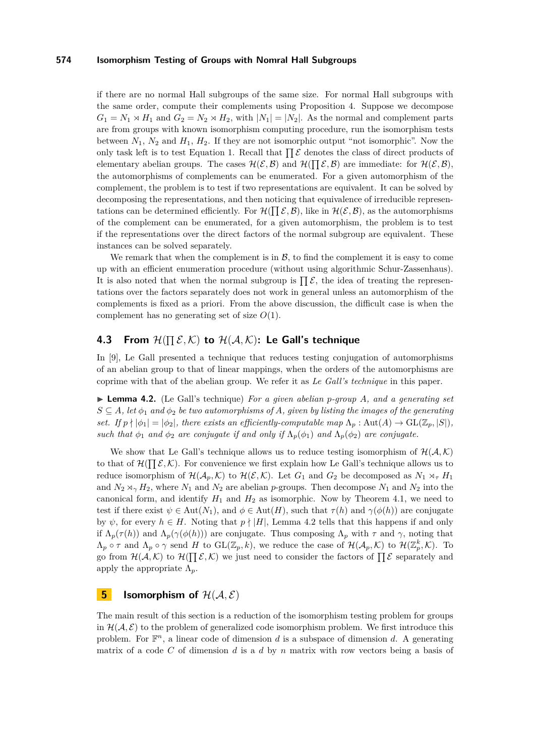if there are no normal Hall subgroups of the same size. For normal Hall subgroups with the same order, compute their complements using Proposition [4.](#page-6-3) Suppose we decompose  $G_1 = N_1 \rtimes H_1$  and  $G_2 = N_2 \rtimes H_2$ , with  $|N_1| = |N_2|$ . As the normal and complement parts are from groups with known isomorphism computing procedure, run the isomorphism tests between  $N_1$ ,  $N_2$  and  $H_1$ ,  $H_2$ . If they are not isomorphic output "not isomorphic". Now the only task left is to test Equation [1.](#page-6-4) Recall that  $\prod \mathcal{E}$  denotes the class of direct products of elementary abelian groups. The cases  $\mathcal{H}(\mathcal{E}, \mathcal{B})$  and  $\mathcal{H}(\prod \mathcal{E}, \mathcal{B})$  are immediate: for  $\mathcal{H}(\mathcal{E}, \mathcal{B})$ , the automorphisms of complements can be enumerated. For a given automorphism of the complement, the problem is to test if two representations are equivalent. It can be solved by decomposing the representations, and then noticing that equivalence of irreducible representations can be determined efficiently. For  $\mathcal{H}(\prod \mathcal{E}, \mathcal{B})$ , like in  $\mathcal{H}(\mathcal{E}, \mathcal{B})$ , as the automorphisms of the complement can be enumerated, for a given automorphism, the problem is to test if the representations over the direct factors of the normal subgroup are equivalent. These instances can be solved separately.

We remark that when the complement is in  $\mathcal{B}$ , to find the complement it is easy to come up with an efficient enumeration procedure (without using algorithmic Schur-Zassenhaus). It is also noted that when the normal subgroup is  $\prod \mathcal{E}$ , the idea of treating the representations over the factors separately does not work in general unless an automorphism of the complements is fixed as a priori. From the above discussion, the difficult case is when the complement has no generating set of size *O*(1).

### **4.3** From  $\mathcal{H}(\prod \mathcal{E}, \mathcal{K})$  to  $\mathcal{H}(\mathcal{A}, \mathcal{K})$ : Le Gall's technique

In [\[9\]](#page-11-0), Le Gall presented a technique that reduces testing conjugation of automorphisms of an abelian group to that of linear mappings, when the orders of the automorphisms are coprime with that of the abelian group. We refer it as *Le Gall's technique* in this paper.

<span id="page-7-1"></span>I **Lemma 4.2.** (Le Gall's technique) *For a given abelian p-group A, and a generating set*  $S \subseteq A$ , let  $\phi_1$  and  $\phi_2$  be two automorphisms of A, given by listing the images of the generating *set. If*  $p \nmid |\phi_1| = |\phi_2|$ *, there exists an efficiently-computable map*  $\Lambda_p : \text{Aut}(A) \to \text{GL}(\mathbb{Z}_p, |S|)$ *, such that*  $\phi_1$  *and*  $\phi_2$  *are conjugate if and only if*  $\Lambda_p(\phi_1)$  *and*  $\Lambda_p(\phi_2)$  *are conjugate.* 

We show that Le Gall's technique allows us to reduce testing isomorphism of  $\mathcal{H}(\mathcal{A},\mathcal{K})$ to that of  $\mathcal{H}(\Pi \mathcal{E}, \mathcal{K})$ . For convenience we first explain how Le Gall's technique allows us to reduce isomorphism of  $\mathcal{H}(\mathcal{A}_p, \mathcal{K})$  to  $\mathcal{H}(\mathcal{E}, \mathcal{K})$ . Let  $G_1$  and  $G_2$  be decomposed as  $N_1 \rtimes_{\tau} H_1$ and  $N_2 \rtimes_{\gamma} H_2$ , where  $N_1$  and  $N_2$  are abelian *p*-groups. Then decompose  $N_1$  and  $N_2$  into the canonical form, and identify  $H_1$  and  $H_2$  as isomorphic. Now by Theorem [4.1,](#page-6-0) we need to test if there exist  $\psi \in \text{Aut}(N_1)$ , and  $\phi \in \text{Aut}(H)$ , such that  $\tau(h)$  and  $\gamma(\phi(h))$  are conjugate by  $\psi$ , for every  $h \in H$ . Noting that  $p \nmid |H|$ , Lemma [4.2](#page-7-1) tells that this happens if and only if  $\Lambda_p(\tau(h))$  and  $\Lambda_p(\gamma(\phi(h)))$  are conjugate. Thus composing  $\Lambda_p$  with  $\tau$  and  $\gamma$ , noting that  $\Lambda_p \circ \tau$  and  $\Lambda_p \circ \gamma$  send *H* to  $\mathrm{GL}(\mathbb{Z}_p, k)$ , we reduce the case of  $\mathcal{H}(\mathcal{A}_p, \mathcal{K})$  to  $\mathcal{H}(\mathbb{Z}_p^k, \mathcal{K})$ . To go from  $\mathcal{H}(\mathcal{A},\mathcal{K})$  to  $\mathcal{H}(\Pi \mathcal{E},\mathcal{K})$  we just need to consider the factors of  $\Pi \mathcal{E}$  separately and apply the appropriate  $\Lambda_p$ .

### <span id="page-7-0"></span>**5 Isomorphism of**  $\mathcal{H}(\mathcal{A}, \mathcal{E})$

The main result of this section is a reduction of the isomorphism testing problem for groups in  $\mathcal{H}(\mathcal{A}, \mathcal{E})$  to the problem of generalized code isomorphism problem. We first introduce this problem. For  $\mathbb{F}^n$ , a linear code of dimension *d* is a subspace of dimension *d*. A generating matrix of a code *C* of dimension *d* is a *d* by *n* matrix with row vectors being a basis of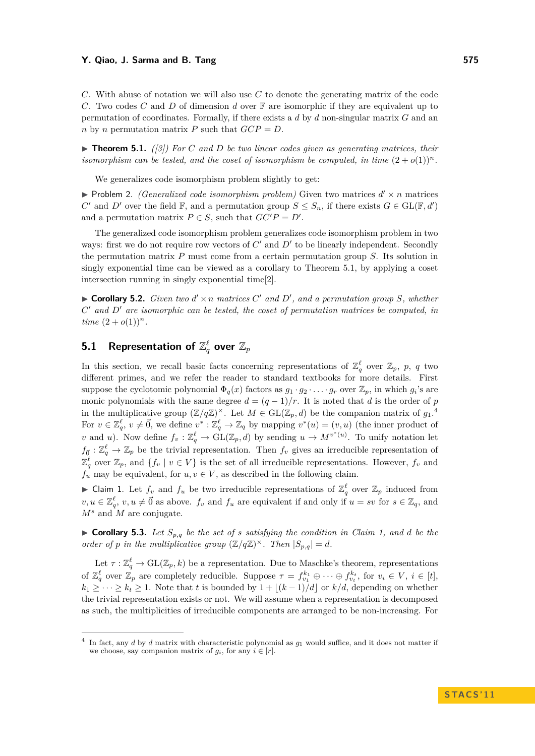#### **Y. Qiao, J. Sarma and B. Tang 575**

*C*. With abuse of notation we will also use *C* to denote the generating matrix of the code *C*. Two codes *C* and *D* of dimension *d* over F are isomorphic if they are equivalent up to permutation of coordinates. Formally, if there exists a *d* by *d* non-singular matrix *G* and an *n* by *n* permutation matrix *P* such that  $GCP = D$ .

<span id="page-8-0"></span> $\triangleright$  **Theorem 5.1.** *([\[3\]](#page-10-0)*) For *C* and *D* be two linear codes given as generating matrices, their *isomorphism can be tested, and the coset of isomorphism be computed, in time*  $(2 + o(1))^n$ .

We generalizes code isomorphism problem slightly to get:

 $\blacktriangleright$  Problem 2. *(Generalized code isomorphism problem)* Given two matrices  $d' \times n$  matrices *C*<sup>
<sup>*C*</sup> and *D*<sup></sup> over the field  $\mathbb{F}$ , and a permutation group  $S \leq S_n$ , if there exists  $G \in GL(\mathbb{F}, d')$ </sup> and a permutation matrix  $P \in S$ , such that  $GC'P = D'$ .

The generalized code isomorphism problem generalizes code isomorphism problem in two ways: first we do not require row vectors of  $C'$  and  $D'$  to be linearly independent. Secondly the permutation matrix *P* must come from a certain permutation group *S*. Its solution in singly exponential time can be viewed as a corollary to Theorem [5.1,](#page-8-0) by applying a coset intersection running in singly exponential time[\[2\]](#page-10-3).

 $\blacktriangleright$  **Corollary 5.2.** *Given two*  $d' \times n$  *matrices*  $C'$  *and*  $D'$ *, and a permutation group*  $S$ *, whether C* <sup>0</sup> *and D*<sup>0</sup> *are isomorphic can be tested, the coset of permutation matrices be computed, in time*  $(2 + o(1))^n$ .

## $\mathbf{5.1}$  Representation of  $\mathbb{Z}_q^\ell$  over  $\mathbb{Z}_p$

In this section, we recall basic facts concerning representations of  $\mathbb{Z}_q^{\ell}$  over  $\mathbb{Z}_p$ , *p*, *q* two different primes, and we refer the reader to standard textbooks for more details. First suppose the cyclotomic polynomial  $\Phi_q(x)$  factors as  $g_1 \cdot g_2 \cdot \ldots \cdot g_r$  over  $\mathbb{Z}_p$ , in which  $g_i$ 's are monic polynomials with the same degree  $d = (q - 1)/r$ . It is noted that *d* is the order of *p* in the multiplicative group  $(\mathbb{Z}/q\mathbb{Z})^{\times}$ . Let  $M \in GL(\mathbb{Z}_p, d)$  be the companion matrix of  $g_1$ .<sup>4</sup> For  $v \in \mathbb{Z}_q^{\ell}$ ,  $v \neq \vec{0}$ , we define  $v^* : \mathbb{Z}_q^{\ell} \to \mathbb{Z}_q$  by mapping  $v^*(u) = (v, u)$  (the inner product of *v* and *u*). Now define  $f_v : \mathbb{Z}_q^{\ell} \to \text{GL}(\mathbb{Z}_p, d)$  by sending  $u \to M^{v^*(u)}$ . To unify notation let  $f_{\vec{0}}: \mathbb{Z}_q^{\ell} \to \mathbb{Z}_p$  be the trivial representation. Then  $f_v$  gives an irreducible representation of  $\mathbb{Z}_q^{\ell}$  over  $\mathbb{Z}_p$ , and  $\{f_v \mid v \in V\}$  is the set of all irreducible representations. However,  $f_v$  and  $f_u$  may be equivalent, for  $u, v \in V$ , as described in the following claim.

<span id="page-8-1"></span>► Claim 1. Let  $f_v$  and  $f_u$  be two irreducible representations of  $\mathbb{Z}_q^{\ell}$  over  $\mathbb{Z}_p$  induced from  $v, u \in \mathbb{Z}_q^{\ell}, v, u \neq \vec{0}$  as above.  $f_v$  and  $f_u$  are equivalent if and only if  $u = sv$  for  $s \in \mathbb{Z}_q$ , and  $M^s$  and M are conjugate.

<span id="page-8-2"></span> $\triangleright$  **Corollary 5.3.** Let  $S_{p,q}$  be the set of *s* satisfying the condition in Claim [1,](#page-8-1) and d be the *order of p in the multiplicative group*  $(\mathbb{Z}/q\mathbb{Z})^{\times}$ *. Then*  $|S_{p,q}| = d$ *.* 

Let  $\tau: \mathbb{Z}_q^{\ell} \to \text{GL}(\mathbb{Z}_p, k)$  be a representation. Due to Maschke's theorem, representations of  $\mathbb{Z}_q^{\ell}$  over  $\mathbb{Z}_p$  are completely reducible. Suppose  $\tau = f_{v_1}^{k_1} \oplus \cdots \oplus f_{v_t}^{k_t}$ , for  $v_i \in V$ ,  $i \in [t]$ , *k*<sub>1</sub> ≥ · · · ≥ *k*<sub>t</sub> ≥ 1. Note that *t* is bounded by  $1 + \lfloor (k-1)/d \rfloor$  or *k/d*, depending on whether the trivial representation exists or not. We will assume when a representation is decomposed as such, the multiplicities of irreducible components are arranged to be non-increasing. For

<sup>4</sup> In fact, any *d* by *d* matrix with characteristic polynomial as *g*<sup>1</sup> would suffice, and it does not matter if we choose, say companion matrix of  $g_i$ , for any  $i \in [r]$ .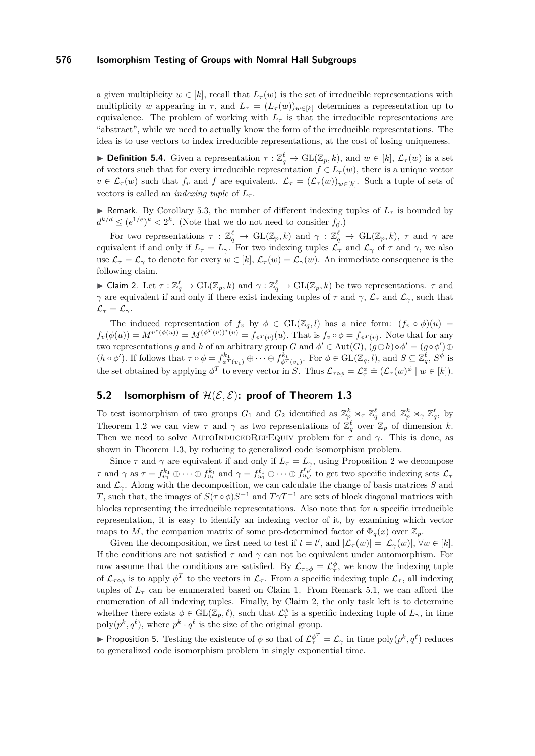a given multiplicity  $w \in [k]$ , recall that  $L_{\tau}(w)$  is the set of irreducible representations with multiplicity *w* appearing in  $\tau$ , and  $L_{\tau} = (L_{\tau}(w))_{w \in [k]}$  determines a representation up to equivalence. The problem of working with  $L<sub>\tau</sub>$  is that the irreducible representations are "abstract", while we need to actually know the form of the irreducible representations. The idea is to use vectors to index irreducible representations, at the cost of losing uniqueness.

<span id="page-9-0"></span>**Definition 5.4.** Given a representation  $\tau : \mathbb{Z}_q^{\ell} \to \text{GL}(\mathbb{Z}_p, k)$ , and  $w \in [k]$ ,  $\mathcal{L}_{\tau}(w)$  is a set of vectors such that for every irreducible representation  $f \in L_{\tau}(w)$ , there is a unique vector  $v \in \mathcal{L}_{\tau}(w)$  such that  $f_v$  and  $f$  are equivalent.  $\mathcal{L}_{\tau} = (\mathcal{L}_{\tau}(w))_{w \in [k]}$ . Such a tuple of sets of vectors is called an *indexing tuple* of  $L_{\tau}$ .

**I** Remark. By Corollary [5.3,](#page-8-2) the number of different indexing tuples of  $L<sub>\tau</sub>$  is bounded by  $d^{k/d} \leq (e^{1/e})^k < 2^k$ . (Note that we do not need to consider  $f_{\vec{0}}$ .)

For two representations  $\tau : \mathbb{Z}_q^{\ell} \to \text{GL}(\mathbb{Z}_p, k)$  and  $\gamma : \mathbb{Z}_q^{\ell} \to \text{GL}(\mathbb{Z}_p, k)$ ,  $\tau$  and  $\gamma$  are equivalent if and only if  $L_{\tau} = L_{\gamma}$ . For two indexing tuples  $\mathcal{L}_{\tau}$  and  $\mathcal{L}_{\gamma}$  of  $\tau$  and  $\gamma$ , we also use  $\mathcal{L}_{\tau} = \mathcal{L}_{\gamma}$  to denote for every  $w \in [k], \mathcal{L}_{\tau}(w) = \mathcal{L}_{\gamma}(w)$ . An immediate consequence is the following claim.

<span id="page-9-1"></span>► Claim 2. Let  $\tau : \mathbb{Z}_q^{\ell} \to \mathrm{GL}(\mathbb{Z}_p, k)$  and  $\gamma : \mathbb{Z}_q^{\ell} \to \mathrm{GL}(\mathbb{Z}_p, k)$  be two representations.  $\tau$  and *γ* are equivalent if and only if there exist indexing tuples of  $\tau$  and  $\gamma$ ,  $\mathcal{L}_{\tau}$  and  $\mathcal{L}_{\gamma}$ , such that  $\mathcal{L}_{\tau} = \mathcal{L}_{\gamma}$ .

The induced representation of  $f_v$  by  $\phi \in GL(\mathbb{Z}_q, l)$  has a nice form:  $(f_v \circ \phi)(u) =$  $f_v(\phi(u)) = M^{v^*(\phi(u))} = M^{(\phi^T(v))^*(u)} = f_{\phi^T(v)}(u)$ . That is  $f_v \circ \phi = f_{\phi^T(v)}$ . Note that for any two representations *g* and *h* of an arbitrary group *G* and  $\phi' \in Aut(G)$ ,  $(g \oplus h) \circ \phi' = (g \circ \phi') \oplus$  $(h \circ \phi')$ . If follows that  $\tau \circ \phi = f_{\phi^T(v_1)}^{k_1} \oplus \cdots \oplus f_{\phi^T(v_t)}^{k_t}$ . For  $\phi \in GL(\mathbb{Z}_q, l)$ , and  $S \subseteq \mathbb{Z}_q^{\ell}$ ,  $S^{\phi}$  is the set obtained by applying  $\phi^T$  to every vector in *S*. Thus  $\mathcal{L}_{\tau \circ \phi} = \mathcal{L}_{\tau}^{\phi} = (\mathcal{L}_{\tau}(w)^{\phi} \mid w \in [k])$ .

### **5.2** Isomorphism of  $\mathcal{H}(\mathcal{E}, \mathcal{E})$ : proof of Theorem [1.3](#page-3-1)

To test isomorphism of two groups  $G_1$  and  $G_2$  identified as  $\mathbb{Z}_p^k \rtimes_{\tau} \mathbb{Z}_q^{\ell}$  and  $\mathbb{Z}_p^k \rtimes_{\gamma} \mathbb{Z}_q^{\ell}$ , by Theorem [1.2](#page-3-0) we can view  $\tau$  and  $\gamma$  as two representations of  $\mathbb{Z}_q^{\ell}$  over  $\mathbb{Z}_p$  of dimension *k*. Then we need to solve AUTOINDUCEDREPEQUIV problem for  $\tau$  and  $\gamma$ . This is done, as shown in Theorem [1.3,](#page-3-1) by reducing to generalized code isomorphism problem.

Since  $\tau$  and  $\gamma$  are equivalent if and only if  $L_{\tau} = L_{\gamma}$ , using Proposition [2](#page-5-3) we decompose  $\tau$  and  $\gamma$  as  $\tau = f_{v_1}^{k_1} \oplus \cdots \oplus f_{v_t}^{k_t}$  and  $\gamma = f_{u_1}^{\ell_1} \oplus \cdots \oplus f_{u_{t'}}^{\ell_{t'}}$  to get two specific indexing sets  $\mathcal{L}_{\tau}$ and  $\mathcal{L}_{\gamma}$ . Along with the decomposition, we can calculate the change of basis matrices *S* and *T*, such that, the images of  $S(\tau \circ \phi)S^{-1}$  and  $T\gamma T^{-1}$  are sets of block diagonal matrices with blocks representing the irreducible representations. Also note that for a specific irreducible representation, it is easy to identify an indexing vector of it, by examining which vector maps to *M*, the companion matrix of some pre-determined factor of  $\Phi_q(x)$  over  $\mathbb{Z}_p$ .

Given the decomposition, we first need to test if  $t = t'$ , and  $|\mathcal{L}_{\tau}(w)| = |\mathcal{L}_{\gamma}(w)|$ ,  $\forall w \in [k]$ . If the conditions are not satisfied  $\tau$  and  $\gamma$  can not be equivalent under automorphism. For now assume that the conditions are satisfied. By  $\mathcal{L}_{\tau \circ \phi} = \mathcal{L}_{\tau}^{\phi}$ , we know the indexing tuple of  $\mathcal{L}_{\tau \circ \phi}$  is to apply  $\phi^T$  to the vectors in  $\mathcal{L}_{\tau}$ . From a specific indexing tuple  $\mathcal{L}_{\tau}$ , all indexing tuples of  $L<sub>\tau</sub>$  can be enumerated based on Claim [1.](#page-8-1) From Remark [5.1,](#page-9-0) we can afford the enumeration of all indexing tuples. Finally, by Claim [2,](#page-9-1) the only task left is to determine whether there exists  $\phi \in GL(\mathbb{Z}_p, \ell)$ , such that  $\mathcal{L}^{\phi}_{\tau}$  is a specific indexing tuple of  $L_{\gamma}$ , in time poly $(p^k, q^{\ell})$ , where  $p^k \cdot q^{\ell}$  is the size of the original group.

► Proposition 5. Testing the existence of  $\phi$  so that of  $\mathcal{L}^{\phi^T}_{\tau} = \mathcal{L}_{\gamma}$  in time  $poly(p^k, q^{\ell})$  reduces to generalized code isomorphism problem in singly exponential time.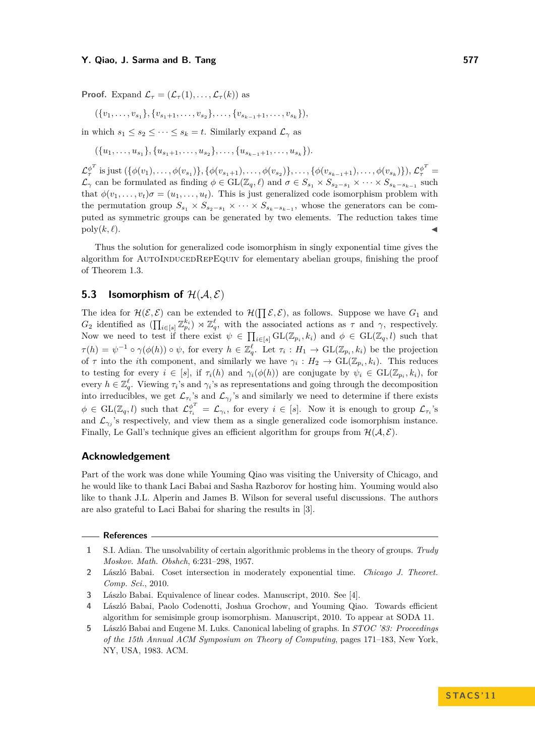**Proof.** Expand  $\mathcal{L}_{\tau} = (\mathcal{L}_{\tau}(1), \ldots, \mathcal{L}_{\tau}(k))$  as

$$
(\{v_1,\ldots,v_{s_1}\},\{v_{s_1+1},\ldots,v_{s_2}\},\ldots,\{v_{s_{k-1}+1},\ldots,v_{s_k}\}),
$$

in which  $s_1 \leq s_2 \leq \cdots \leq s_k = t$ . Similarly expand  $\mathcal{L}_{\gamma}$  as

 $({u_1, \ldots, u_{s_1}}, {u_{s_1+1}, \ldots, u_{s_2}}, \ldots, {u_{s_{k-1}+1}, \ldots, u_{s_k}}).$ 

 $\mathcal{L}_{\tau}^{\phi^T}$  is just  $(\{\phi(v_1), \ldots, \phi(v_{s_1})\}, \{\phi(v_{s_1+1}), \ldots, \phi(v_{s_2})\}, \ldots, \{\phi(v_{s_{k-1}+1}), \ldots, \phi(v_{s_k})\}), \mathcal{L}_{\tau}^{\phi^T} =$  $\mathcal{L}_{\gamma}$  can be formulated as finding  $\phi \in GL(\mathbb{Z}_q, \ell)$  and  $\sigma \in S_{s_1} \times S_{s_2-s_1} \times \cdots \times S_{s_k-s_{k-1}}$  such that  $\phi(v_1, \ldots, v_t)\sigma = (u_1, \ldots, u_t)$ . This is just generalized code isomorphism problem with the permutation group  $S_{s_1} \times S_{s_2-s_1} \times \cdots \times S_{s_k-s_{k-1}}$ , whose the generators can be computed as symmetric groups can be generated by two elements. The reduction takes time  $\text{poly}(k, \ell).$ 

Thus the solution for generalized code isomorphism in singly exponential time gives the algorithm for AUTOINDUCEDREPEQUIV for elementary abelian groups, finishing the proof of Theorem [1.3.](#page-3-1)

### **5.3 Isomorphism of**  $\mathcal{H}(\mathcal{A}, \mathcal{E})$

The idea for  $\mathcal{H}(\mathcal{E}, \mathcal{E})$  can be extended to  $\mathcal{H}(\prod \mathcal{E}, \mathcal{E})$ , as follows. Suppose we have  $G_1$  and  $G_2$  identified as  $(\prod_{i\in[s]}\mathbb{Z}_{p_i}^{k_i})\rtimes\mathbb{Z}_q^{\ell}$ , with the associated actions as  $\tau$  and  $\gamma$ , respectively. Now we need to test if there exist  $\psi \in \prod_{i\in [s]} GL(\mathbb{Z}_{p_i}, k_i)$  and  $\phi \in GL(\mathbb{Z}_q, l)$  such that  $\tau(h) = \psi^{-1} \circ \gamma(\phi(h)) \circ \psi$ , for every  $h \in \mathbb{Z}_q^{\ell}$ . Let  $\tau_i : H_1 \to \text{GL}(\mathbb{Z}_{p_i}, k_i)$  be the projection of  $\tau$  into the *i*th component, and similarly we have  $\gamma_i: H_2 \to \text{GL}(\mathbb{Z}_{p_i}, k_i)$ . This reduces to testing for every  $i \in [s]$ , if  $\tau_i(h)$  and  $\gamma_i(\phi(h))$  are conjugate by  $\psi_i \in GL(\mathbb{Z}_{p_i}, k_i)$ , for every  $h \in \mathbb{Z}_q^{\ell}$ . Viewing  $\tau_i$ 's and  $\gamma_i$ 's as representations and going through the decomposition into irreducibles, we get  $\mathcal{L}_{\tau_i}$ 's and  $\mathcal{L}_{\gamma_j}$ 's and similarly we need to determine if there exists  $\phi \in GL(\mathbb{Z}_q, l)$  such that  $\mathcal{L}^{\phi^T}_{\tau_i} = \mathcal{L}_{\gamma_i}$ , for every  $i \in [s]$ . Now it is enough to group  $\mathcal{L}_{\tau_i}$ 's and  $\mathcal{L}_{\gamma_j}$ 's respectively, and view them as a single generalized code isomorphism instance. Finally, Le Gall's technique gives an efficient algorithm for groups from  $\mathcal{H}(\mathcal{A}, \mathcal{E})$ .

#### **Acknowledgement**

Part of the work was done while Youming Qiao was visiting the University of Chicago, and he would like to thank Laci Babai and Sasha Razborov for hosting him. Youming would also like to thank J.L. Alperin and James B. Wilson for several useful discussions. The authors are also grateful to Laci Babai for sharing the results in [\[3\]](#page-10-0).

#### **References**

- <span id="page-10-1"></span>**1** S.I. Adian. The unsolvability of certain algorithmic problems in the theory of groups. *Trudy Moskov. Math. Obshch*, 6:231–298, 1957.
- <span id="page-10-3"></span>**2** László Babai. Coset intersection in moderately exponential time. *Chicago J. Theoret. Comp. Sci.*, 2010.
- <span id="page-10-0"></span>**3** Lászlo Babai. Equivalence of linear codes. Manuscript, 2010. See [\[4\]](#page-10-4).
- <span id="page-10-4"></span>**4** László Babai, Paolo Codenotti, Joshua Grochow, and Youming Qiao. Towards efficient algorithm for semisimple group isomorphism. Manuscript, 2010. To appear at SODA 11.
- <span id="page-10-2"></span>**5** László Babai and Eugene M. Luks. Canonical labeling of graphs. In *STOC '83: Proceedings of the 15th Annual ACM Symposium on Theory of Computing*, pages 171–183, New York, NY, USA, 1983. ACM.